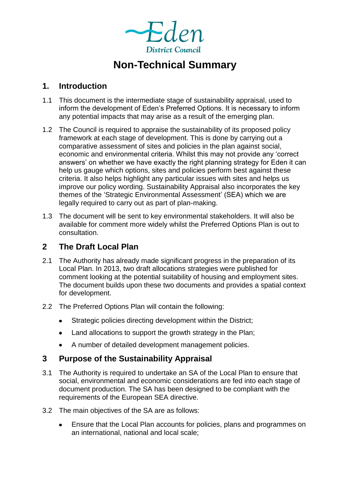

# **Non-Technical Summary**

#### **1. Introduction**

- 1.1 This document is the intermediate stage of sustainability appraisal, used to inform the development of Eden's Preferred Options. It is necessary to inform any potential impacts that may arise as a result of the emerging plan.
- 1.2 The Council is required to appraise the sustainability of its proposed policy framework at each stage of development. This is done by carrying out a comparative assessment of sites and policies in the plan against social, economic and environmental criteria. Whilst this may not provide any 'correct answers' on whether we have exactly the right planning strategy for Eden it can help us gauge which options, sites and policies perform best against these criteria. It also helps highlight any particular issues with sites and helps us improve our policy wording. Sustainability Appraisal also incorporates the key themes of the 'Strategic Environmental Assessment' (SEA) which we are legally required to carry out as part of plan-making.
- 1.3 The document will be sent to key environmental stakeholders. It will also be available for comment more widely whilst the Preferred Options Plan is out to consultation.

# **2 The Draft Local Plan**

- 2.1 The Authority has already made significant progress in the preparation of its Local Plan. In 2013, two draft allocations strategies were published for comment looking at the potential suitability of housing and employment sites. The document builds upon these two documents and provides a spatial context for development.
- 2.2 The Preferred Options Plan will contain the following:
	- Strategic policies directing development within the District;  $\bullet$
	- Land allocations to support the growth strategy in the Plan;  $\bullet$
	- A number of detailed development management policies.

## **3 Purpose of the Sustainability Appraisal**

- 3.1 The Authority is required to undertake an SA of the Local Plan to ensure that social, environmental and economic considerations are fed into each stage of document production. The SA has been designed to be compliant with the requirements of the European SEA directive.
- 3.2 The main objectives of the SA are as follows:
	- Ensure that the Local Plan accounts for policies, plans and programmes on  $\bullet$ an international, national and local scale;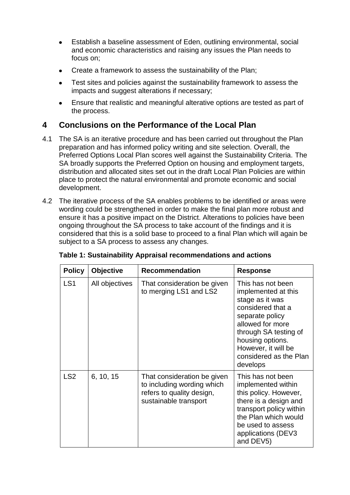- Establish a baseline assessment of Eden, outlining environmental, social  $\bullet$ and economic characteristics and raising any issues the Plan needs to focus on;
- Create a framework to assess the sustainability of the Plan;
- Test sites and policies against the sustainability framework to assess the impacts and suggest alterations if necessary;
- Ensure that realistic and meaningful alterative options are tested as part of the process.

## **4 Conclusions on the Performance of the Local Plan**

- 4.1 The SA is an iterative procedure and has been carried out throughout the Plan preparation and has informed policy writing and site selection. Overall, the Preferred Options Local Plan scores well against the Sustainability Criteria. The SA broadly supports the Preferred Option on housing and employment targets, distribution and allocated sites set out in the draft Local Plan Policies are within place to protect the natural environmental and promote economic and social development.
- 4.2 The iterative process of the SA enables problems to be identified or areas were wording could be strengthened in order to make the final plan more robust and ensure it has a positive impact on the District. Alterations to policies have been ongoing throughout the SA process to take account of the findings and it is considered that this is a solid base to proceed to a final Plan which will again be subject to a SA process to assess any changes.

| <b>Policy</b>   | <b>Objective</b> | <b>Recommendation</b>                                                                                           | <b>Response</b>                                                                                                                                                                                                                   |
|-----------------|------------------|-----------------------------------------------------------------------------------------------------------------|-----------------------------------------------------------------------------------------------------------------------------------------------------------------------------------------------------------------------------------|
| LS <sub>1</sub> | All objectives   | That consideration be given<br>to merging LS1 and LS2                                                           | This has not been<br>implemented at this<br>stage as it was<br>considered that a<br>separate policy<br>allowed for more<br>through SA testing of<br>housing options.<br>However, it will be<br>considered as the Plan<br>develops |
| LS <sub>2</sub> | 6, 10, 15        | That consideration be given<br>to including wording which<br>refers to quality design,<br>sustainable transport | This has not been<br>implemented within<br>this policy. However,<br>there is a design and<br>transport policy within<br>the Plan which would<br>be used to assess<br>applications (DEV3<br>and DEV5)                              |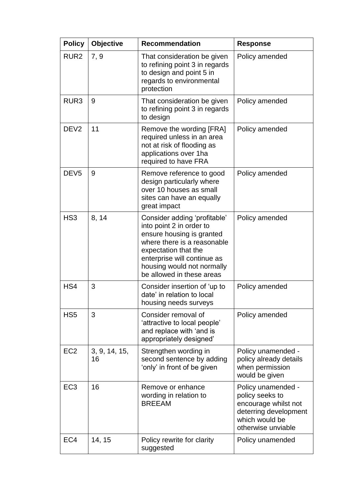| <b>Policy</b>    | Objective           | <b>Recommendation</b>                                                                                                                                                                                                                  | <b>Response</b>                                                                                                                |
|------------------|---------------------|----------------------------------------------------------------------------------------------------------------------------------------------------------------------------------------------------------------------------------------|--------------------------------------------------------------------------------------------------------------------------------|
| RUR <sub>2</sub> | 7, 9                | That consideration be given<br>to refining point 3 in regards<br>to design and point 5 in<br>regards to environmental<br>protection                                                                                                    | Policy amended                                                                                                                 |
| RUR <sub>3</sub> | 9                   | That consideration be given<br>to refining point 3 in regards<br>to design                                                                                                                                                             | Policy amended                                                                                                                 |
| DEV <sub>2</sub> | 11                  | Remove the wording [FRA]<br>required unless in an area<br>not at risk of flooding as<br>applications over 1ha<br>required to have FRA                                                                                                  | Policy amended                                                                                                                 |
| DEV <sub>5</sub> | 9                   | Remove reference to good<br>design particularly where<br>over 10 houses as small<br>sites can have an equally<br>great impact                                                                                                          | Policy amended                                                                                                                 |
| HS <sub>3</sub>  | 8, 14               | Consider adding 'profitable'<br>into point 2 in order to<br>ensure housing is granted<br>where there is a reasonable<br>expectation that the<br>enterprise will continue as<br>housing would not normally<br>be allowed in these areas | Policy amended                                                                                                                 |
| HS4              | 3                   | Consider insertion of 'up to<br>date' in relation to local<br>housing needs surveys                                                                                                                                                    | Policy amended                                                                                                                 |
| HS <sub>5</sub>  | 3                   | Consider removal of<br>'attractive to local people'<br>and replace with 'and is<br>appropriately designed'                                                                                                                             | Policy amended                                                                                                                 |
| EC <sub>2</sub>  | 3, 9, 14, 15,<br>16 | Strengthen wording in<br>second sentence by adding<br>'only' in front of be given                                                                                                                                                      | Policy unamended -<br>policy already details<br>when permission<br>would be given                                              |
| EC <sub>3</sub>  | 16                  | Remove or enhance<br>wording in relation to<br><b>BREEAM</b>                                                                                                                                                                           | Policy unamended -<br>policy seeks to<br>encourage whilst not<br>deterring development<br>which would be<br>otherwise unviable |
| EC <sub>4</sub>  | 14, 15              | Policy rewrite for clarity<br>suggested                                                                                                                                                                                                | Policy unamended                                                                                                               |